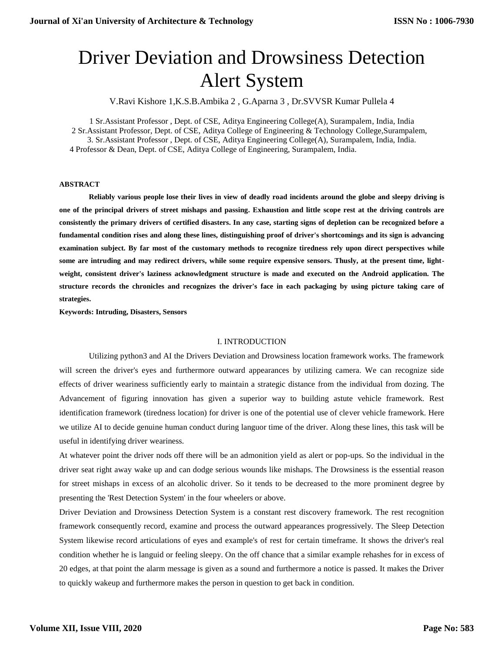# Driver Deviation and Drowsiness Detection Alert System

V.Ravi Kishore 1,K.S.B.Ambika 2 , G.Aparna 3 , Dr.SVVSR Kumar Pullela 4

1 Sr.Assistant Professor , Dept. of CSE, Aditya Engineering College(A), Surampalem, India, India 2 Sr.Assistant Professor, Dept. of CSE, Aditya College of Engineering & Technology College,Surampalem, 3. Sr.Assistant Professor , Dept. of CSE, Aditya Engineering College(A), Surampalem, India, India. 4 Professor & Dean, Dept. of CSE, Aditya College of Engineering, Surampalem, India.

#### **ABSTRACT**

**Reliably various people lose their lives in view of deadly road incidents around the globe and sleepy driving is one of the principal drivers of street mishaps and passing. Exhaustion and little scope rest at the driving controls are consistently the primary drivers of certified disasters. In any case, starting signs of depletion can be recognized before a fundamental condition rises and along these lines, distinguishing proof of driver's shortcomings and its sign is advancing examination subject. By far most of the customary methods to recognize tiredness rely upon direct perspectives while some are intruding and may redirect drivers, while some require expensive sensors. Thusly, at the present time, lightweight, consistent driver's laziness acknowledgment structure is made and executed on the Android application. The structure records the chronicles and recognizes the driver's face in each packaging by using picture taking care of strategies.** 

**Keywords: Intruding, Disasters, Sensors**

#### I. INTRODUCTION

Utilizing python3 and AI the Drivers Deviation and Drowsiness location framework works. The framework will screen the driver's eyes and furthermore outward appearances by utilizing camera. We can recognize side effects of driver weariness sufficiently early to maintain a strategic distance from the individual from dozing. The Advancement of figuring innovation has given a superior way to building astute vehicle framework. Rest identification framework (tiredness location) for driver is one of the potential use of clever vehicle framework. Here we utilize AI to decide genuine human conduct during languor time of the driver. Along these lines, this task will be useful in identifying driver weariness.

At whatever point the driver nods off there will be an admonition yield as alert or pop-ups. So the individual in the driver seat right away wake up and can dodge serious wounds like mishaps. The Drowsiness is the essential reason for street mishaps in excess of an alcoholic driver. So it tends to be decreased to the more prominent degree by presenting the 'Rest Detection System' in the four wheelers or above.

Driver Deviation and Drowsiness Detection System is a constant rest discovery framework. The rest recognition framework consequently record, examine and process the outward appearances progressively. The Sleep Detection System likewise record articulations of eyes and example's of rest for certain timeframe. It shows the driver's real condition whether he is languid or feeling sleepy. On the off chance that a similar example rehashes for in excess of 20 edges, at that point the alarm message is given as a sound and furthermore a notice is passed. It makes the Driver to quickly wakeup and furthermore makes the person in question to get back in condition.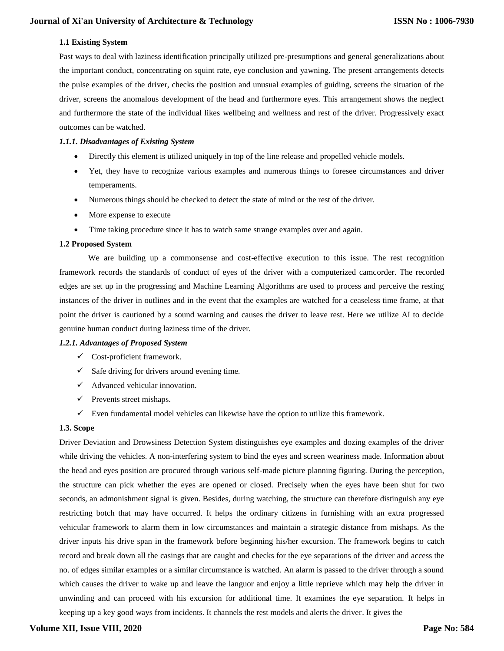# **1.1 Existing System**

Past ways to deal with laziness identification principally utilized pre-presumptions and general generalizations about the important conduct, concentrating on squint rate, eye conclusion and yawning. The present arrangements detects the pulse examples of the driver, checks the position and unusual examples of guiding, screens the situation of the driver, screens the anomalous development of the head and furthermore eyes. This arrangement shows the neglect and furthermore the state of the individual likes wellbeing and wellness and rest of the driver. Progressively exact outcomes can be watched.

## *1.1.1. Disadvantages of Existing System*

- Directly this element is utilized uniquely in top of the line release and propelled vehicle models.
- Yet, they have to recognize various examples and numerous things to foresee circumstances and driver temperaments.
- Numerous things should be checked to detect the state of mind or the rest of the driver.
- More expense to execute
- Time taking procedure since it has to watch same strange examples over and again.

#### **1.2 Proposed System**

 We are building up a commonsense and cost-effective execution to this issue. The rest recognition framework records the standards of conduct of eyes of the driver with a computerized camcorder. The recorded edges are set up in the progressing and Machine Learning Algorithms are used to process and perceive the resting instances of the driver in outlines and in the event that the examples are watched for a ceaseless time frame, at that point the driver is cautioned by a sound warning and causes the driver to leave rest. Here we utilize AI to decide genuine human conduct during laziness time of the driver.

### *1.2.1. Advantages of Proposed System*

- $\checkmark$  Cost-proficient framework.
- $\checkmark$  Safe driving for drivers around evening time.
- $\checkmark$  Advanced vehicular innovation.
- $\checkmark$  Prevents street mishaps.
- $\checkmark$  Even fundamental model vehicles can likewise have the option to utilize this framework.

#### **1.3. Scope**

Driver Deviation and Drowsiness Detection System distinguishes eye examples and dozing examples of the driver while driving the vehicles. A non-interfering system to bind the eyes and screen weariness made. Information about the head and eyes position are procured through various self-made picture planning figuring. During the perception, the structure can pick whether the eyes are opened or closed. Precisely when the eyes have been shut for two seconds, an admonishment signal is given. Besides, during watching, the structure can therefore distinguish any eye restricting botch that may have occurred. It helps the ordinary citizens in furnishing with an extra progressed vehicular framework to alarm them in low circumstances and maintain a strategic distance from mishaps. As the driver inputs his drive span in the framework before beginning his/her excursion. The framework begins to catch record and break down all the casings that are caught and checks for the eye separations of the driver and access the no. of edges similar examples or a similar circumstance is watched. An alarm is passed to the driver through a sound which causes the driver to wake up and leave the languor and enjoy a little reprieve which may help the driver in unwinding and can proceed with his excursion for additional time. It examines the eye separation. It helps in keeping up a key good ways from incidents. It channels the rest models and alerts the driver. It gives the

# **Volume XII, Issue VIII, 2020**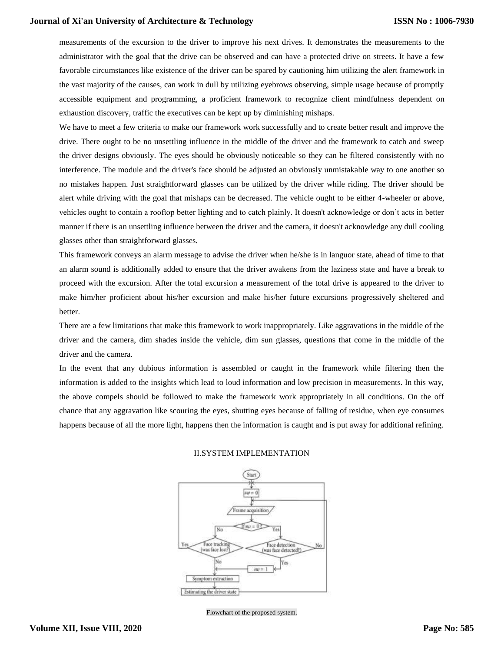# **Journal of Xi'an University of Architecture & Technology**

measurements of the excursion to the driver to improve his next drives. It demonstrates the measurements to the administrator with the goal that the drive can be observed and can have a protected drive on streets. It have a few favorable circumstances like existence of the driver can be spared by cautioning him utilizing the alert framework in the vast majority of the causes, can work in dull by utilizing eyebrows observing, simple usage because of promptly accessible equipment and programming, a proficient framework to recognize client mindfulness dependent on exhaustion discovery, traffic the executives can be kept up by diminishing mishaps.

We have to meet a few criteria to make our framework work successfully and to create better result and improve the drive. There ought to be no unsettling influence in the middle of the driver and the framework to catch and sweep the driver designs obviously. The eyes should be obviously noticeable so they can be filtered consistently with no interference. The module and the driver's face should be adjusted an obviously unmistakable way to one another so no mistakes happen. Just straightforward glasses can be utilized by the driver while riding. The driver should be alert while driving with the goal that mishaps can be decreased. The vehicle ought to be either 4-wheeler or above, vehicles ought to contain a rooftop better lighting and to catch plainly. It doesn't acknowledge or don't acts in better manner if there is an unsettling influence between the driver and the camera, it doesn't acknowledge any dull cooling glasses other than straightforward glasses.

This framework conveys an alarm message to advise the driver when he/she is in languor state, ahead of time to that an alarm sound is additionally added to ensure that the driver awakens from the laziness state and have a break to proceed with the excursion. After the total excursion a measurement of the total drive is appeared to the driver to make him/her proficient about his/her excursion and make his/her future excursions progressively sheltered and better.

There are a few limitations that make this framework to work inappropriately. Like aggravations in the middle of the driver and the camera, dim shades inside the vehicle, dim sun glasses, questions that come in the middle of the driver and the camera.

In the event that any dubious information is assembled or caught in the framework while filtering then the information is added to the insights which lead to loud information and low precision in measurements. In this way, the above compels should be followed to make the framework work appropriately in all conditions. On the off chance that any aggravation like scouring the eyes, shutting eyes because of falling of residue, when eye consumes happens because of all the more light, happens then the information is caught and is put away for additional refining.



#### II.SYSTEM IMPLEMENTATION

Flowchart of the proposed system.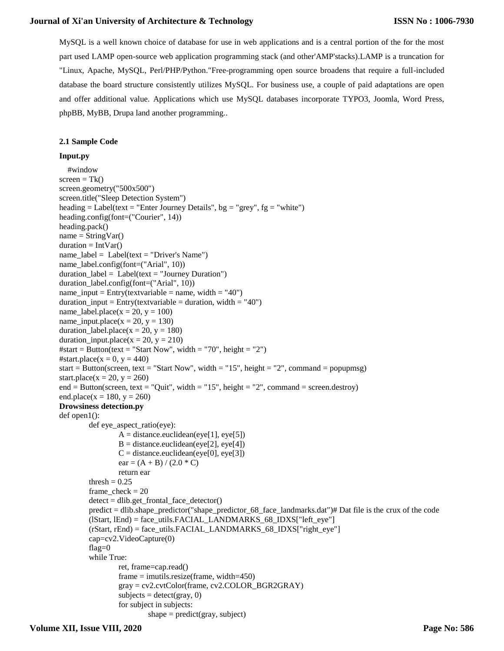# **Journal of Xi'an University of Architecture & Technology**

MySQL is a well known choice of database for use in web applications and is a central portion of the for the most part used LAMP open-source web application programming stack (and other'AMP'stacks).LAMP is a truncation for "Linux, Apache, MySQL, Perl/PHP/Python."Free-programming open source broadens that require a full-included database the board structure consistently utilizes MySQL. For business use, a couple of paid adaptations are open and offer additional value. Applications which use MySQL databases incorporate TYPO3, Joomla, Word Press, phpBB, MyBB, Drupa land another programming..

## **2.1 Sample Code**

# **Input.py**

```
 #window
screen = Tk()screen.geometry("500x500")
screen.title("Sleep Detection System")
heading = Label(text = "Enter Journey Details", bg = "grey", fg = "white")
heading.config(font=("Courier", 14))
heading.pack() 
name = StringVar()duration = IntVar()name_label = Label(text = "Driver's Name")
name_label.config(font=("Arial", 10))
duration\_label = Label(text = "Journal; Duration")duration_label.config(font=("Arial", 10))
name input = Entry(textvariable = name, width = "40")duration\_input = Entry(textvariable = duration, width = "40")name_label.place(x = 20, y = 100)
name_input.place(x = 20, y = 130)
duration_label.place(x = 20, y = 180)
duration input.place(x = 20, y = 210)
#start = Button(text = "Start Now", width = "70", height = "2")
#start.place(x = 0, y = 440)
start = Button(screen, text = "Start Now", width = "15", height = "2", command = popupmsg)
start.place(x = 20, y = 260)
end = Button(screen, text = "Quit", width = "15", height = "2", command = screen.destroy)
end.place(x = 180, y = 260)
Drowsiness detection.py
def open1():
        def eye_aspect_ratio(eye):
                 A = distance.euclidean(eye[1], eye[5])B = distance.euclidean(eye[2], eye[4])C = distance.euclidean(eye[0], eye[3])ear = (A + B) / (2.0 * C)return ear
         thresh = 0.25frame\_check = 20detect = dlib.get_frontal_face_detector()
         predict = dlib.shape_predictor("shape_predictor_68_face_landmarks.dat")# Dat file is the crux of the code
         (lStart, lEnd) = face_utils.FACIAL_LANDMARKS_68_IDXS["left_eye"]
         (rStart, rEnd) = face_utils.FACIAL_LANDMARKS_68_IDXS["right_eye"]
        cap=cv2.VideoCapture(0)
         flag=0
         while True:
                 ret, frame=cap.read()
                 frame = imutils.resize(frame, width=450)
                 gray = cv2.cvtColor(frame, cv2.COLOR_BGR2GRAY)
                 \text{subjects} = \text{detect}(\text{gray}, 0)for subject in subjects:
                          shape = predict(gray, subject)
```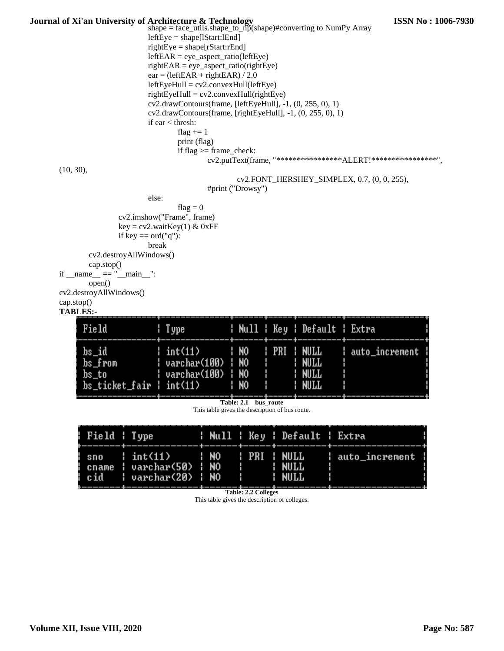| Journal of Xi'an University of Architecture & Technology |                                                                                                         | shape = $face\_utils.shape_to_np(shape)$ #converting to NumPy Array        |                            |             |                              |                                                                | <b>ISSN No: 1006-7930</b> |
|----------------------------------------------------------|---------------------------------------------------------------------------------------------------------|----------------------------------------------------------------------------|----------------------------|-------------|------------------------------|----------------------------------------------------------------|---------------------------|
|                                                          |                                                                                                         | $leftEye = shape[1Start:1End]$                                             |                            |             |                              |                                                                |                           |
|                                                          |                                                                                                         | $rightEye = shape[rStart:rEnd]$<br>$leftEAR = eye\_aspect\_ratio(leftEye)$ |                            |             |                              |                                                                |                           |
|                                                          |                                                                                                         | $rightEAR = eye\_aspect\_ratio(rightEye)$                                  |                            |             |                              |                                                                |                           |
|                                                          |                                                                                                         | $ear = (leftEAR + rightEAR) / 2.0$                                         |                            |             |                              |                                                                |                           |
|                                                          |                                                                                                         | $leftEyeHull = cv2.comvexHull(leftEye)$                                    |                            |             |                              |                                                                |                           |
|                                                          | $rightEyeHull = cv2.comvexHull(rightEye)$<br>cv2.drawContours(frame, [leftEyeHull], -1, (0, 255, 0), 1) |                                                                            |                            |             |                              |                                                                |                           |
|                                                          |                                                                                                         |                                                                            |                            |             |                              |                                                                |                           |
|                                                          | $cv2. drawContours(frame, [rightEyeHull], -1, (0, 255, 0), 1)$<br>if ear $\langle$ thresh:              |                                                                            |                            |             |                              |                                                                |                           |
|                                                          |                                                                                                         | flag $+= 1$                                                                |                            |             |                              |                                                                |                           |
|                                                          |                                                                                                         | print (flag)                                                               |                            |             |                              |                                                                |                           |
|                                                          |                                                                                                         | if $flag \geq frame_{check}$ :                                             |                            |             |                              | cv2.putText(frame, "*****************ALERT!******************* |                           |
| (10, 30),                                                |                                                                                                         |                                                                            |                            |             |                              |                                                                |                           |
|                                                          |                                                                                                         |                                                                            |                            |             |                              | cv2.FONT_HERSHEY_SIMPLEX, 0.7, (0, 0, 255),                    |                           |
|                                                          |                                                                                                         |                                                                            | #print ("Drowsy")          |             |                              |                                                                |                           |
|                                                          | else:                                                                                                   |                                                                            |                            |             |                              |                                                                |                           |
|                                                          |                                                                                                         | flag = $0$<br>cv2.imshow("Frame", frame)                                   |                            |             |                              |                                                                |                           |
|                                                          |                                                                                                         | $key = cv2$ .wait $Key(1) & QxFF$                                          |                            |             |                              |                                                                |                           |
|                                                          | if key $==$ ord("q"):                                                                                   |                                                                            |                            |             |                              |                                                                |                           |
|                                                          | break                                                                                                   |                                                                            |                            |             |                              |                                                                |                           |
| cv2.destroyAllWindows()<br>cap.stop()                    |                                                                                                         |                                                                            |                            |             |                              |                                                                |                           |
| if ${\_}name{\_} == {\_} {\_}main {\_}."$                |                                                                                                         |                                                                            |                            |             |                              |                                                                |                           |
| open()                                                   |                                                                                                         |                                                                            |                            |             |                              |                                                                |                           |
| cv2.destroyAllWindows()                                  |                                                                                                         |                                                                            |                            |             |                              |                                                                |                           |
| cap.stop()<br><b>TABLES:-</b>                            |                                                                                                         |                                                                            |                            |             |                              |                                                                |                           |
|                                                          |                                                                                                         |                                                                            |                            |             |                              |                                                                |                           |
| Field                                                    |                                                                                                         | : Type                                                                     |                            |             |                              | : Null : Key : Default : Extra                                 |                           |
| bs_id                                                    |                                                                                                         | int(11)                                                                    | N0                         | PRI         | <b>NULL</b>                  | auto_increment                                                 |                           |
| bs_from                                                  |                                                                                                         | varchar(100)                                                               | N0                         |             | MOLT                         |                                                                |                           |
| bs_to                                                    |                                                                                                         | varchar(100)                                                               | N0                         |             | <b>NULL</b>                  |                                                                |                           |
| bs_ticket_fair   int(11)                                 |                                                                                                         |                                                                            | : NO                       |             | <b>: MOTT</b>                |                                                                |                           |
|                                                          |                                                                                                         |                                                                            |                            |             |                              |                                                                |                           |
|                                                          |                                                                                                         | This table gives the description of bus route.                             | Table: 2.1 bus route       |             |                              |                                                                |                           |
|                                                          |                                                                                                         |                                                                            |                            |             |                              |                                                                |                           |
| Field : Type                                             |                                                                                                         |                                                                            |                            |             | Null   Key   Default   Extra |                                                                |                           |
| sno                                                      | int(11)                                                                                                 | <b>NO</b>                                                                  | <b>PRI</b>                 | <b>NULL</b> |                              | auto_increment                                                 |                           |
| cname                                                    |                                                                                                         | <b>NO</b><br>varchar(50)                                                   |                            | <b>MULL</b> |                              |                                                                |                           |
| cid                                                      |                                                                                                         | <b>NO</b><br>varchar(20)                                                   |                            | <b>MULL</b> |                              |                                                                |                           |
|                                                          |                                                                                                         |                                                                            | <b>Table: 2.2 Colleges</b> |             |                              |                                                                |                           |
|                                                          |                                                                                                         |                                                                            |                            |             |                              |                                                                |                           |

This table gives the description of colleges.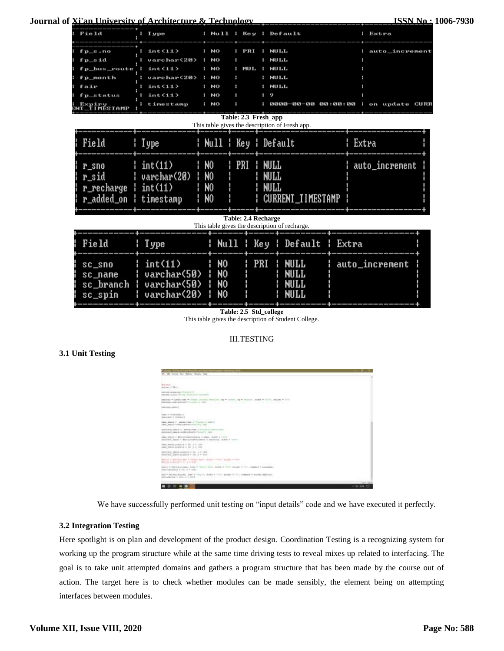**Journal of Xi'an University of Architecture & Technology**

| T ype                                                                               |                                        |                                                          |        |                                                          |                                                                                                                                                                                                                                                                                                                                   | i Extra                  |                                                                                                                                 |
|-------------------------------------------------------------------------------------|----------------------------------------|----------------------------------------------------------|--------|----------------------------------------------------------|-----------------------------------------------------------------------------------------------------------------------------------------------------------------------------------------------------------------------------------------------------------------------------------------------------------------------------------|--------------------------|---------------------------------------------------------------------------------------------------------------------------------|
| int<11><br>varchar<20><br>int<11><br>varchar(20)<br>int(11)<br>int(11)<br>timestamp | NO<br>NO<br>NO<br>NO<br>NO<br>NO<br>NO |                                                          | 9<br>н |                                                          |                                                                                                                                                                                                                                                                                                                                   |                          |                                                                                                                                 |
|                                                                                     |                                        |                                                          |        |                                                          |                                                                                                                                                                                                                                                                                                                                   |                          |                                                                                                                                 |
| ¦ Type                                                                              |                                        |                                                          |        |                                                          |                                                                                                                                                                                                                                                                                                                                   |                          |                                                                                                                                 |
| int(11)<br>varchar(20)<br>int(11)<br>r_added_on ¦ timestamp                         |                                        | PRI                                                      |        |                                                          |                                                                                                                                                                                                                                                                                                                                   |                          |                                                                                                                                 |
|                                                                                     |                                        |                                                          |        |                                                          |                                                                                                                                                                                                                                                                                                                                   |                          |                                                                                                                                 |
| : Type                                                                              |                                        |                                                          |        |                                                          |                                                                                                                                                                                                                                                                                                                                   |                          |                                                                                                                                 |
| int(11)<br>varchar(50)<br>varchar(50)<br>varchar(20)                                | N0<br><b>NO</b><br><b>N</b> O<br>N0    |                                                          | PRI    | <b>MALL</b><br><b>MULL</b><br><b>NULL</b><br><b>NULL</b> |                                                                                                                                                                                                                                                                                                                                   |                          |                                                                                                                                 |
|                                                                                     |                                        | N0<br>N <sub>0</sub><br>N <sub>0</sub><br>N <sub>0</sub> |        | PRI<br>: MUL                                             | : Null : Key : Default<br><b>NULL</b><br><b>NULL</b><br><b>NULL</b><br><b>NULL</b><br><b>NULL</b><br>0000—00—00<br>Table: 2.3 Fresh_app<br>This table gives the description of Fresh app.<br>¦ Null ¦ Key ¦ Default<br>NULL<br>NULL<br><b>MALL</b><br><b>Table: 2.4 Recharge</b><br>This table gives the description of recharge. | <b>CURRENT_TIMESTAMP</b> | auto_increment<br>on update CURR<br>00 : 00 : 00<br>Extra<br>auto_increment<br>: Null : Key : Default : Extra<br>auto_increment |

**Table: 2.5 Std\_college**

This table gives the description of Student College.

# III.TESTING

# **3.1 Unit Testing**

| Microsoft Parties by New York Company of America 1991<br>14 181 Toyotal Dain Talliner Schalter Select                          | --            |
|--------------------------------------------------------------------------------------------------------------------------------|---------------|
|                                                                                                                                |               |
| Exercis<br>m                                                                                                                   |               |
| AAANAA LAHUMAA KA (1770) SUULUI 2011<br>research annual Contra Severicist Commerci-                                            |               |
| MARINE + LEELING - TELEC DUNNE DOMAINT, 24 + Termit, 25 + Temmit, 2020 + TELEC, 201991-1-TEL<br>MAINELINEELEDGA TOTALETI, EN L |               |
| 1101010-00201                                                                                                                  |               |
| lance in Advancement<br><b>ENGALAZZ, V. BERTONITI</b><br>Same Allie Contact C                                                  |               |
| HER LEEL ? GELLISED OF TOURING INSUR-<br>1444   EDSA - 100011191001-12527; 1011                                                |               |
| mission sales . Y relatement in them assessed<br>MUSEUM ASSAULTERED FORTUNITY (19)                                             |               |
| sana banco il descrittaggiore il cape, model il forto<br>INVERSE DESIGN TO BROWN FEDERAL REGISTRATIONS, HEARD IN THIS IS       |               |
| <b>SALE FOR THE SPIRE FOR THE R</b><br>AREA ASSESSED AND THE ST. P. LEWIS<br>AMA ASSIVATENTE = (0, 2 4 LIN)                    |               |
| HUBSIDE 2003 (ASSEMULT-20, 2 T 120)<br>HORSES LIGHT-ASSESS F-10, J F 10.0-                                                     |               |
| \$13111 W.M.Holeyster & Private Burn, Mused & Walt Secure & Hills,<br>REFA/V.SIAHOC P. P. J. P. 4685                           |               |
| (FEE) * BUTCHINGER, 1980 * TOUCH SUT, NASA * TUT, DELET * TO, COMERC * GALAXIES<br>every cannons = 25; J = 1821.               |               |
| \$60 = \$63.50 (\$1):000, '100 + "111; ("), 46.03 + "11"; '\$6.000 + "11"; contact + 41.000 (\$62):011                         |               |
|                                                                                                                                | Title R. Pain |
| $0 \equiv k \equiv 0$                                                                                                          | $-10.09 - 10$ |

We have successfully performed unit testing on "input details" code and we have executed it perfectly.

# **3.2 Integration Testing**

Here spotlight is on plan and development of the product design. Coordination Testing is a recognizing system for working up the program structure while at the same time driving tests to reveal mixes up related to interfacing. The goal is to take unit attempted domains and gathers a program structure that has been made by the course out of action. The target here is to check whether modules can be made sensibly, the element being on attempting interfaces between modules.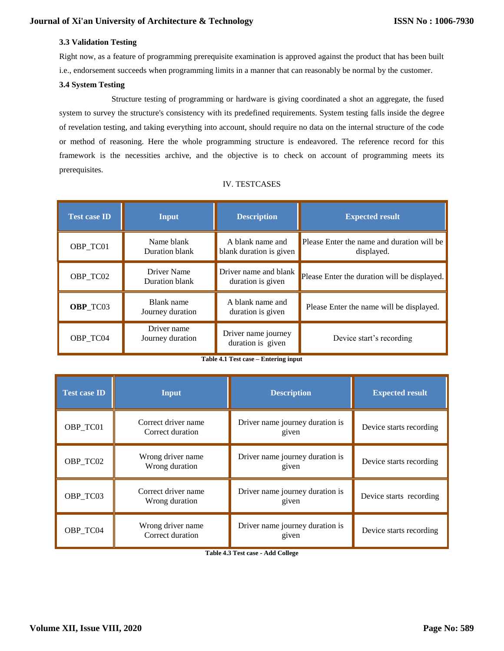# **3.3 Validation Testing**

Right now, as a feature of programming prerequisite examination is approved against the product that has been built i.e., endorsement succeeds when programming limits in a manner that can reasonably be normal by the customer.

## **3.4 System Testing**

 Structure testing of programming or hardware is giving coordinated a shot an aggregate, the fused system to survey the structure's consistency with its predefined requirements. System testing falls inside the degree of revelation testing, and taking everything into account, should require no data on the internal structure of the code or method of reasoning. Here the whole programming structure is endeavored. The reference record for this framework is the necessities archive, and the objective is to check on account of programming meets its prerequisites.

| <b>Test case ID</b> | <b>Input</b>                    | <b>Description</b>                          | <b>Expected result</b>                                   |  |
|---------------------|---------------------------------|---------------------------------------------|----------------------------------------------------------|--|
| OBP TC01            | Name blank<br>Duration blank    | A blank name and<br>blank duration is given | Please Enter the name and duration will be<br>displayed. |  |
| OBP TC02            | Driver Name<br>Duration blank   | Driver name and blank<br>duration is given  | Please Enter the duration will be displayed.             |  |
| OBP_TC03            | Blank name<br>Journey duration  | A blank name and<br>duration is given       | Please Enter the name will be displayed.                 |  |
| OBP TC04            | Driver name<br>Journey duration | Driver name journey<br>duration is given    | Device start's recording                                 |  |

#### IV. TESTCASES

#### **Table 4.1 Test case – Entering input**

| <b>Test case ID</b> | <b>Input</b>                            | <b>Description</b>                       | <b>Expected result</b>  |
|---------------------|-----------------------------------------|------------------------------------------|-------------------------|
| OBP_TC01            | Correct driver name<br>Correct duration | Driver name journey duration is<br>given | Device starts recording |
| OBP_TC02            | Wrong driver name<br>Wrong duration     | Driver name journey duration is<br>given | Device starts recording |
| OBP_TC03            | Correct driver name<br>Wrong duration   | Driver name journey duration is<br>given | Device starts recording |
| OBP_TC04            | Wrong driver name<br>Correct duration   | Driver name journey duration is<br>given | Device starts recording |

**Table 4.3 Test case - Add College**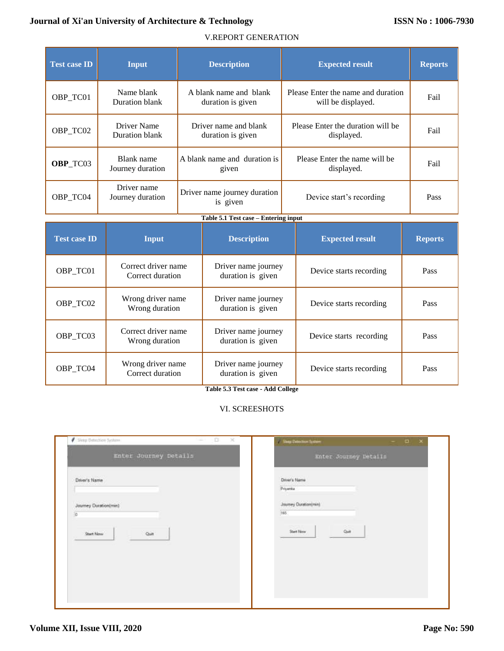# **Journal of Xi'an University of Architecture & Technology**

# V.REPORT GENERATION

| <b>Test case ID</b> | Input                           | <b>Description</b>                          | <b>Expected result</b>                                   | <b>Reports</b> |
|---------------------|---------------------------------|---------------------------------------------|----------------------------------------------------------|----------------|
| OBP_TC01            | Name blank<br>Duration blank    | A blank name and blank<br>duration is given | Please Enter the name and duration<br>will be displayed. | Fail           |
| OBP_TC02            | Driver Name<br>Duration blank   | Driver name and blank<br>duration is given  | Please Enter the duration will be<br>displayed.          | Fail           |
| <b>OBP</b> TC03     | Blank name<br>Journey duration  | A blank name and duration is<br>given       | Please Enter the name will be<br>displayed.              | Fail           |
| OBP TC04            | Driver name<br>Journey duration | Driver name journey duration<br>is given    | Device start's recording                                 | Pass           |

# **Table 5.1 Test case – Entering input**

| <b>Test case ID</b> | Input                                   | <b>Description</b>                       | <b>Expected result</b>  | <b>Reports</b> |
|---------------------|-----------------------------------------|------------------------------------------|-------------------------|----------------|
| OBP_TC01            | Correct driver name<br>Correct duration | Driver name journey<br>duration is given | Device starts recording | Pass           |
| OBP TC02            | Wrong driver name<br>Wrong duration     | Driver name journey<br>duration is given | Device starts recording | <b>Pass</b>    |
| OBP TC03            | Correct driver name<br>Wrong duration   | Driver name journey<br>duration is given | Device starts recording | <b>Pass</b>    |
| OBP TC04            | Wrong driver name<br>Correct duration   | Driver name journey<br>duration is given | Device starts recording | Pass           |

**Table 5.3 Test case - Add College**

# VI. SCREESHOTS

| Enter Journey Details                                        | Enter Journey Details                    |
|--------------------------------------------------------------|------------------------------------------|
| Driver's Name                                                | Driver's Name                            |
| <b>CONTRACTOR</b> CONTRACTOR<br>Journey Duration(min)<br>io. | Priyanka<br>Journey Duration(min)<br>165 |
| <b>Start Now</b><br>$Q_{\rm diff}$                           | ×<br>Quit<br>Start New                   |
|                                                              |                                          |
|                                                              |                                          |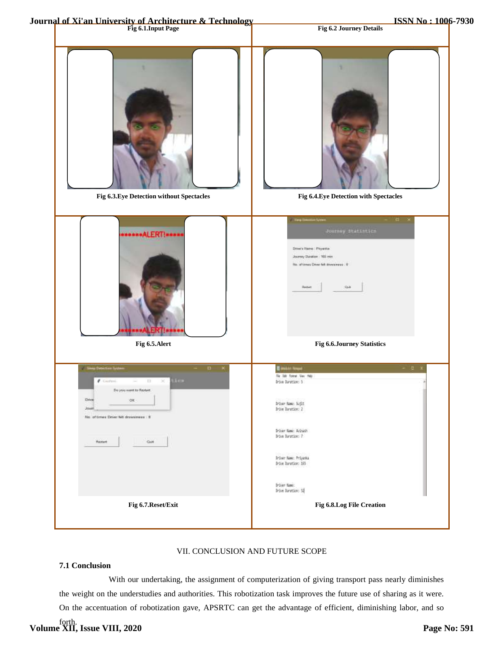

## VII. CONCLUSION AND FUTURE SCOPE

# **7.1 Conclusion**

 With our undertaking, the assignment of computerization of giving transport pass nearly diminishes the weight on the understudies and authorities. This robotization task improves the future use of sharing as it were. On the accentuation of robotization gave, APSRTC can get the advantage of efficient, diminishing labor, and so